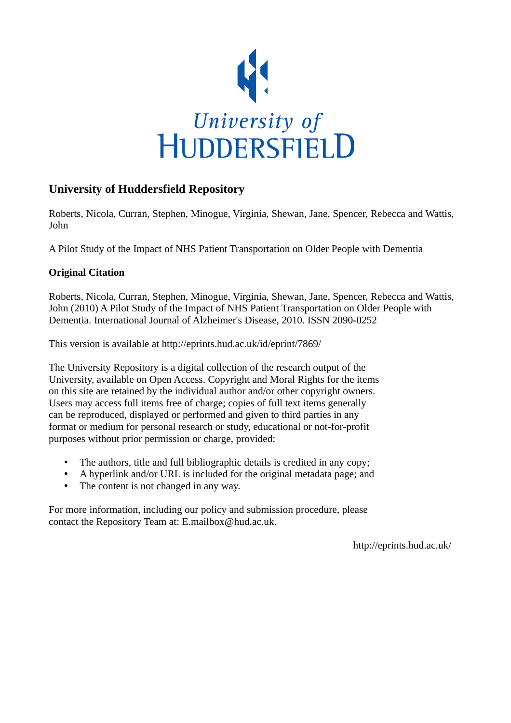

# **University of Huddersfield Repository**

Roberts, Nicola, Curran, Stephen, Minogue, Virginia, Shewan, Jane, Spencer, Rebecca and Wattis, John

A Pilot Study of the Impact of NHS Patient Transportation on Older People with Dementia

# **Original Citation**

Roberts, Nicola, Curran, Stephen, Minogue, Virginia, Shewan, Jane, Spencer, Rebecca and Wattis, John (2010) A Pilot Study of the Impact of NHS Patient Transportation on Older People with Dementia. International Journal of Alzheimer's Disease, 2010. ISSN 2090-0252

This version is available at http://eprints.hud.ac.uk/id/eprint/7869/

The University Repository is a digital collection of the research output of the University, available on Open Access. Copyright and Moral Rights for the items on this site are retained by the individual author and/or other copyright owners. Users may access full items free of charge; copies of full text items generally can be reproduced, displayed or performed and given to third parties in any format or medium for personal research or study, educational or not-for-profit purposes without prior permission or charge, provided:

- The authors, title and full bibliographic details is credited in any copy;
- A hyperlink and/or URL is included for the original metadata page; and
- The content is not changed in any way.

For more information, including our policy and submission procedure, please contact the Repository Team at: E.mailbox@hud.ac.uk.

http://eprints.hud.ac.uk/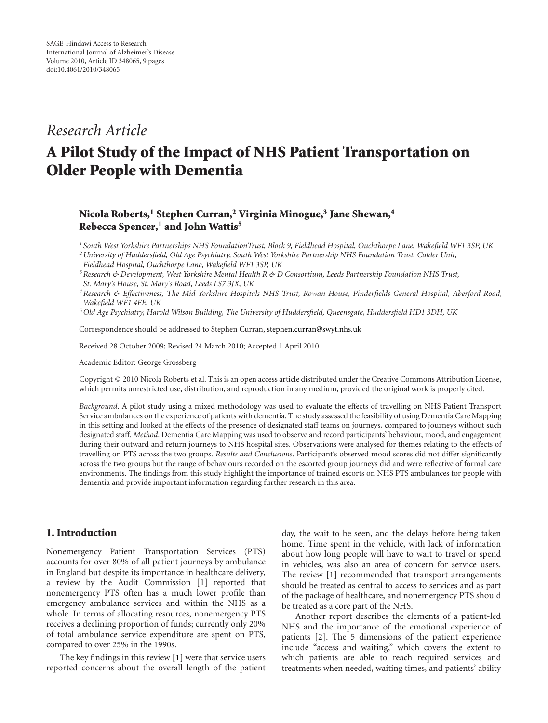# *Research Article*

# **A Pilot Study of the Impact of NHS Patient Transportation on Older People with Dementia**

# **Nicola Roberts,1 Stephen Curran,2 Virginia Minogue,3 Jane Shewan,4 Rebecca Spencer,1 and John Wattis5**

*<sup>1</sup> South West Yorkshire Partnerships NHS FoundationTrust, Block 9, Fieldhead Hospital, Ouchthorpe Lane, Wakefield WF1 3SP, UK 2University of Huddersfield, Old Age Psychiatry, South West Yorkshire Partnership NHS Foundation Trust, Calder Unit,*

*Fieldhead Hospital, Ouchthorpe Lane, Wakefield WF1 3SP, UK*

*3Research & Development, West Yorkshire Mental Health R & D Consortium, Leeds Partnership Foundation NHS Trust, St. Mary's House, St. Mary's Road, Leeds LS7 3JX, UK*

*4Research & Effectiveness, The Mid Yorkshire Hospitals NHS Trust, Rowan House, Pinderfields General Hospital, Aberford Road, Wakefield WF1 4EE, UK*

*5Old Age Psychiatry, Harold Wilson Building, The University of Huddersfield, Queensgate, Huddersfield HD1 3DH, UK*

Correspondence should be addressed to Stephen Curran, stephen.curran@swyt.nhs.uk

Received 28 October 2009; Revised 24 March 2010; Accepted 1 April 2010

Academic Editor: George Grossberg

Copyright © 2010 Nicola Roberts et al. This is an open access article distributed under the Creative Commons Attribution License, which permits unrestricted use, distribution, and reproduction in any medium, provided the original work is properly cited.

*Background*. A pilot study using a mixed methodology was used to evaluate the effects of travelling on NHS Patient Transport Service ambulances on the experience of patients with dementia. The study assessed the feasibility of using Dementia Care Mapping in this setting and looked at the effects of the presence of designated staff teams on journeys, compared to journeys without such designated staff. *Method*. Dementia Care Mapping was used to observe and record participants' behaviour, mood, and engagement during their outward and return journeys to NHS hospital sites. Observations were analysed for themes relating to the effects of travelling on PTS across the two groups. *Results and Conclusions*. Participant's observed mood scores did not differ significantly across the two groups but the range of behaviours recorded on the escorted group journeys did and were reflective of formal care environments. The findings from this study highlight the importance of trained escorts on NHS PTS ambulances for people with dementia and provide important information regarding further research in this area.

## **1. Introduction**

Nonemergency Patient Transportation Services (PTS) accounts for over 80% of all patient journeys by ambulance in England but despite its importance in healthcare delivery, a review by the Audit Commission [1] reported that nonemergency PTS often has a much lower profile than emergency ambulance services and within the NHS as a whole. In terms of allocating resources, nonemergency PTS receives a declining proportion of funds; currently only 20% of total ambulance service expenditure are spent on PTS, compared to over 25% in the 1990s.

The key findings in this review [1] were that service users reported concerns about the overall length of the patient day, the wait to be seen, and the delays before being taken home. Time spent in the vehicle, with lack of information about how long people will have to wait to travel or spend in vehicles, was also an area of concern for service users. The review [1] recommended that transport arrangements should be treated as central to access to services and as part of the package of healthcare, and nonemergency PTS should be treated as a core part of the NHS.

Another report describes the elements of a patient-led NHS and the importance of the emotional experience of patients [2]. The 5 dimensions of the patient experience include "access and waiting," which covers the extent to which patients are able to reach required services and treatments when needed, waiting times, and patients' ability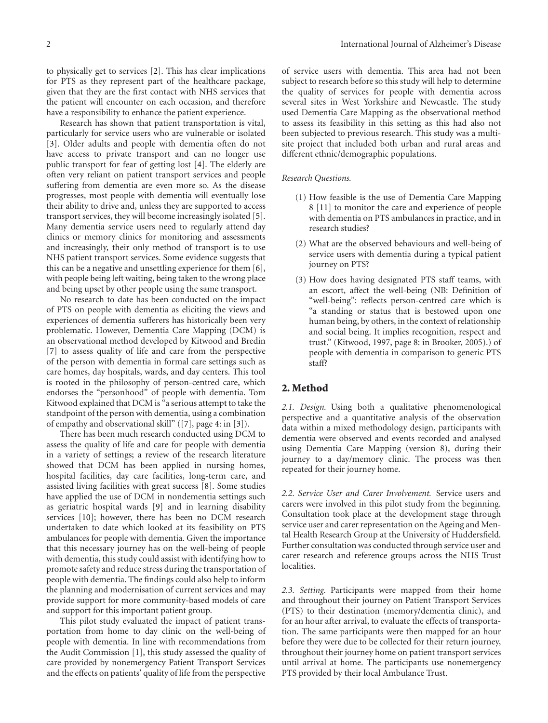to physically get to services [2]. This has clear implications for PTS as they represent part of the healthcare package, given that they are the first contact with NHS services that the patient will encounter on each occasion, and therefore have a responsibility to enhance the patient experience.

Research has shown that patient transportation is vital, particularly for service users who are vulnerable or isolated [3]. Older adults and people with dementia often do not have access to private transport and can no longer use public transport for fear of getting lost [4]. The elderly are often very reliant on patient transport services and people suffering from dementia are even more so. As the disease progresses, most people with dementia will eventually lose their ability to drive and, unless they are supported to access transport services, they will become increasingly isolated [5]. Many dementia service users need to regularly attend day clinics or memory clinics for monitoring and assessments and increasingly, their only method of transport is to use NHS patient transport services. Some evidence suggests that this can be a negative and unsettling experience for them [6], with people being left waiting, being taken to the wrong place and being upset by other people using the same transport.

No research to date has been conducted on the impact of PTS on people with dementia as eliciting the views and experiences of dementia sufferers has historically been very problematic. However, Dementia Care Mapping (DCM) is an observational method developed by Kitwood and Bredin [7] to assess quality of life and care from the perspective of the person with dementia in formal care settings such as care homes, day hospitals, wards, and day centers. This tool is rooted in the philosophy of person-centred care, which endorses the "personhood" of people with dementia. Tom Kitwood explained that DCM is "a serious attempt to take the standpoint of the person with dementia, using a combination of empathy and observational skill" ([7], page 4: in [3]).

There has been much research conducted using DCM to assess the quality of life and care for people with dementia in a variety of settings; a review of the research literature showed that DCM has been applied in nursing homes, hospital facilities, day care facilities, long-term care, and assisted living facilities with great success [8]. Some studies have applied the use of DCM in nondementia settings such as geriatric hospital wards [9] and in learning disability services [10]; however, there has been no DCM research undertaken to date which looked at its feasibility on PTS ambulances for people with dementia. Given the importance that this necessary journey has on the well-being of people with dementia, this study could assist with identifying how to promote safety and reduce stress during the transportation of people with dementia. The findings could also help to inform the planning and modernisation of current services and may provide support for more community-based models of care and support for this important patient group.

This pilot study evaluated the impact of patient transportation from home to day clinic on the well-being of people with dementia. In line with recommendations from the Audit Commission [1], this study assessed the quality of care provided by nonemergency Patient Transport Services and the effects on patients' quality of life from the perspective

of service users with dementia. This area had not been subject to research before so this study will help to determine the quality of services for people with dementia across several sites in West Yorkshire and Newcastle. The study used Dementia Care Mapping as the observational method to assess its feasibility in this setting as this had also not been subjected to previous research. This study was a multisite project that included both urban and rural areas and different ethnic/demographic populations.

#### *Research Questions.*

- (1) How feasible is the use of Dementia Care Mapping 8 [11] to monitor the care and experience of people with dementia on PTS ambulances in practice, and in research studies?
- (2) What are the observed behaviours and well-being of service users with dementia during a typical patient journey on PTS?
- (3) How does having designated PTS staff teams, with an escort, affect the well-being (NB: Definition of "well-being": reflects person-centred care which is "a standing or status that is bestowed upon one human being, by others, in the context of relationship and social being. It implies recognition, respect and trust." (Kitwood, 1997, page 8: in Brooker, 2005).) of people with dementia in comparison to generic PTS staff?

## **2. Method**

*2.1. Design.* Using both a qualitative phenomenological perspective and a quantitative analysis of the observation data within a mixed methodology design, participants with dementia were observed and events recorded and analysed using Dementia Care Mapping (version 8), during their journey to a day/memory clinic. The process was then repeated for their journey home.

*2.2. Service User and Carer Involvement.* Service users and carers were involved in this pilot study from the beginning. Consultation took place at the development stage through service user and carer representation on the Ageing and Mental Health Research Group at the University of Huddersfield. Further consultation was conducted through service user and carer research and reference groups across the NHS Trust localities.

*2.3. Setting.* Participants were mapped from their home and throughout their journey on Patient Transport Services (PTS) to their destination (memory/dementia clinic), and for an hour after arrival, to evaluate the effects of transportation. The same participants were then mapped for an hour before they were due to be collected for their return journey, throughout their journey home on patient transport services until arrival at home. The participants use nonemergency PTS provided by their local Ambulance Trust.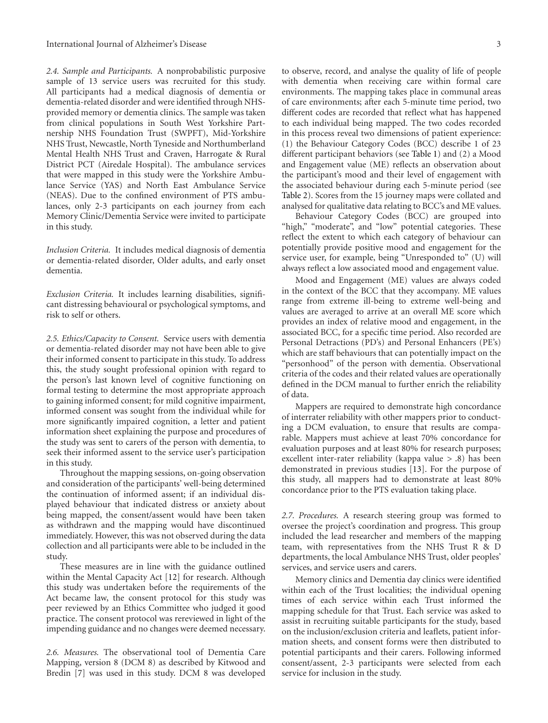*2.4. Sample and Participants.* A nonprobabilistic purposive sample of 13 service users was recruited for this study. All participants had a medical diagnosis of dementia or dementia-related disorder and were identified through NHSprovided memory or dementia clinics. The sample was taken from clinical populations in South West Yorkshire Partnership NHS Foundation Trust (SWPFT), Mid-Yorkshire NHS Trust, Newcastle, North Tyneside and Northumberland Mental Health NHS Trust and Craven, Harrogate & Rural District PCT (Airedale Hospital). The ambulance services that were mapped in this study were the Yorkshire Ambulance Service (YAS) and North East Ambulance Service (NEAS). Due to the confined environment of PTS ambulances, only 2-3 participants on each journey from each Memory Clinic/Dementia Service were invited to participate in this study.

*Inclusion Criteria.* It includes medical diagnosis of dementia or dementia-related disorder, Older adults, and early onset dementia.

*Exclusion Criteria.* It includes learning disabilities, significant distressing behavioural or psychological symptoms, and risk to self or others.

*2.5. Ethics/Capacity to Consent.* Service users with dementia or dementia-related disorder may not have been able to give their informed consent to participate in this study. To address this, the study sought professional opinion with regard to the person's last known level of cognitive functioning on formal testing to determine the most appropriate approach to gaining informed consent; for mild cognitive impairment, informed consent was sought from the individual while for more significantly impaired cognition, a letter and patient information sheet explaining the purpose and procedures of the study was sent to carers of the person with dementia, to seek their informed assent to the service user's participation in this study.

Throughout the mapping sessions, on-going observation and consideration of the participants' well-being determined the continuation of informed assent; if an individual displayed behaviour that indicated distress or anxiety about being mapped, the consent/assent would have been taken as withdrawn and the mapping would have discontinued immediately. However, this was not observed during the data collection and all participants were able to be included in the study.

These measures are in line with the guidance outlined within the Mental Capacity Act [12] for research. Although this study was undertaken before the requirements of the Act became law, the consent protocol for this study was peer reviewed by an Ethics Committee who judged it good practice. The consent protocol was rereviewed in light of the impending guidance and no changes were deemed necessary.

*2.6. Measures.* The observational tool of Dementia Care Mapping, version 8 (DCM 8) as described by Kitwood and Bredin [7] was used in this study. DCM 8 was developed

to observe, record, and analyse the quality of life of people with dementia when receiving care within formal care environments. The mapping takes place in communal areas of care environments; after each 5-minute time period, two different codes are recorded that reflect what has happened to each individual being mapped. The two codes recorded in this process reveal two dimensions of patient experience: (1) the Behaviour Category Codes (BCC) describe 1 of 23 different participant behaviors (see Table 1) and (2) a Mood and Engagement value (ME) reflects an observation about the participant's mood and their level of engagement with the associated behaviour during each 5-minute period (see Table 2). Scores from the 15 journey maps were collated and analysed for qualitative data relating to BCC's and ME values.

Behaviour Category Codes (BCC) are grouped into "high," "moderate", and "low" potential categories. These reflect the extent to which each category of behaviour can potentially provide positive mood and engagement for the service user, for example, being "Unresponded to" (U) will always reflect a low associated mood and engagement value.

Mood and Engagement (ME) values are always coded in the context of the BCC that they accompany. ME values range from extreme ill-being to extreme well-being and values are averaged to arrive at an overall ME score which provides an index of relative mood and engagement, in the associated BCC, for a specific time period. Also recorded are Personal Detractions (PD's) and Personal Enhancers (PE's) which are staff behaviours that can potentially impact on the "personhood" of the person with dementia. Observational criteria of the codes and their related values are operationally defined in the DCM manual to further enrich the reliability of data.

Mappers are required to demonstrate high concordance of interrater reliability with other mappers prior to conducting a DCM evaluation, to ensure that results are comparable. Mappers must achieve at least 70% concordance for evaluation purposes and at least 80% for research purposes; excellent inter-rater reliability (kappa value *>* .8) has been demonstrated in previous studies [13]. For the purpose of this study, all mappers had to demonstrate at least 80% concordance prior to the PTS evaluation taking place.

*2.7. Procedures.* A research steering group was formed to oversee the project's coordination and progress. This group included the lead researcher and members of the mapping team, with representatives from the NHS Trust R & D departments, the local Ambulance NHS Trust, older peoples' services, and service users and carers.

Memory clinics and Dementia day clinics were identified within each of the Trust localities; the individual opening times of each service within each Trust informed the mapping schedule for that Trust. Each service was asked to assist in recruiting suitable participants for the study, based on the inclusion/exclusion criteria and leaflets, patient information sheets, and consent forms were then distributed to potential participants and their carers. Following informed consent/assent, 2-3 participants were selected from each service for inclusion in the study.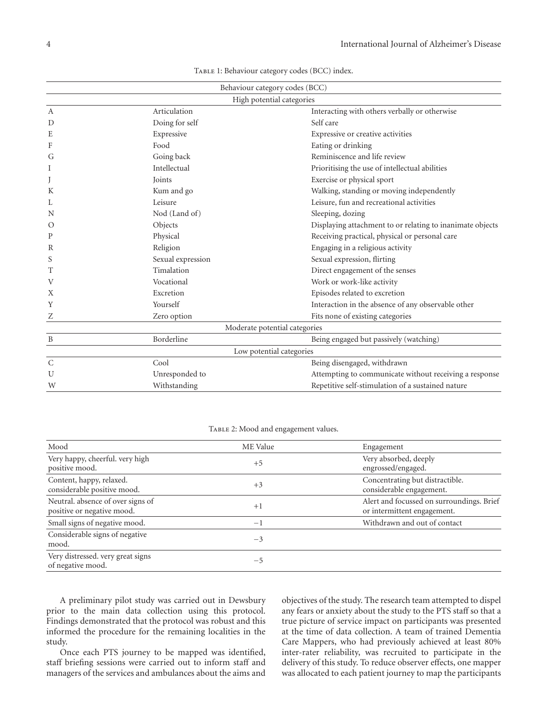|                           |                   | Behaviour category codes (BCC)                            |  |  |  |  |
|---------------------------|-------------------|-----------------------------------------------------------|--|--|--|--|
| High potential categories |                   |                                                           |  |  |  |  |
| A                         | Articulation      | Interacting with others verbally or otherwise             |  |  |  |  |
| D                         | Doing for self    | Self care                                                 |  |  |  |  |
| E                         | Expressive        | Expressive or creative activities                         |  |  |  |  |
| F                         | Food              | Eating or drinking                                        |  |  |  |  |
| G                         | Going back        | Reminiscence and life review                              |  |  |  |  |
| Ι                         | Intellectual      | Prioritising the use of intellectual abilities            |  |  |  |  |
|                           | <b>Joints</b>     | Exercise or physical sport                                |  |  |  |  |
| К                         | Kum and go        | Walking, standing or moving independently                 |  |  |  |  |
| L                         | Leisure           | Leisure, fun and recreational activities                  |  |  |  |  |
| N                         | Nod (Land of)     | Sleeping, dozing                                          |  |  |  |  |
| $\circ$                   | Objects           | Displaying attachment to or relating to inanimate objects |  |  |  |  |
| P                         | Physical          | Receiving practical, physical or personal care            |  |  |  |  |
| $\mathbb{R}$              | Religion          | Engaging in a religious activity                          |  |  |  |  |
| S                         | Sexual expression | Sexual expression, flirting                               |  |  |  |  |
| T                         | Timalation        | Direct engagement of the senses                           |  |  |  |  |
| V                         | Vocational        | Work or work-like activity                                |  |  |  |  |
| X                         | Excretion         | Episodes related to excretion                             |  |  |  |  |
| Υ                         | Yourself          | Interaction in the absence of any observable other        |  |  |  |  |
| Ζ                         | Zero option       | Fits none of existing categories                          |  |  |  |  |
|                           |                   | Moderate potential categories                             |  |  |  |  |
| B                         | Borderline        | Being engaged but passively (watching)                    |  |  |  |  |
|                           |                   | Low potential categories                                  |  |  |  |  |
| $\mathcal{C}$             | Cool              | Being disengaged, withdrawn                               |  |  |  |  |
| U                         | Unresponded to    | Attempting to communicate without receiving a response    |  |  |  |  |
| W                         | Withstanding      | Repetitive self-stimulation of a sustained nature         |  |  |  |  |

TABLE 1: Behaviour category codes (BCC) index.

|  |  | TABLE 2: Mood and engagement values. |  |
|--|--|--------------------------------------|--|
|--|--|--------------------------------------|--|

| Mood                                                            | ME Value | Engagement                                                               |
|-----------------------------------------------------------------|----------|--------------------------------------------------------------------------|
| Very happy, cheerful. very high<br>positive mood.               | $+5$     | Very absorbed, deeply<br>engrossed/engaged.                              |
| Content, happy, relaxed.<br>considerable positive mood.         | $+3$     | Concentrating but distractible.<br>considerable engagement.              |
| Neutral, absence of over signs of<br>positive or negative mood. | $+1$     | Alert and focussed on surroundings. Brief<br>or intermittent engagement. |
| Small signs of negative mood.                                   | $-1$     | Withdrawn and out of contact                                             |
| Considerable signs of negative<br>mood.                         | $-3$     |                                                                          |
| Very distressed. very great signs<br>of negative mood.          | $-5$     |                                                                          |

A preliminary pilot study was carried out in Dewsbury prior to the main data collection using this protocol. Findings demonstrated that the protocol was robust and this informed the procedure for the remaining localities in the study.

Once each PTS journey to be mapped was identified, staff briefing sessions were carried out to inform staff and managers of the services and ambulances about the aims and objectives of the study. The research team attempted to dispel any fears or anxiety about the study to the PTS staff so that a true picture of service impact on participants was presented at the time of data collection. A team of trained Dementia Care Mappers, who had previously achieved at least 80% inter-rater reliability, was recruited to participate in the delivery of this study. To reduce observer effects, one mapper was allocated to each patient journey to map the participants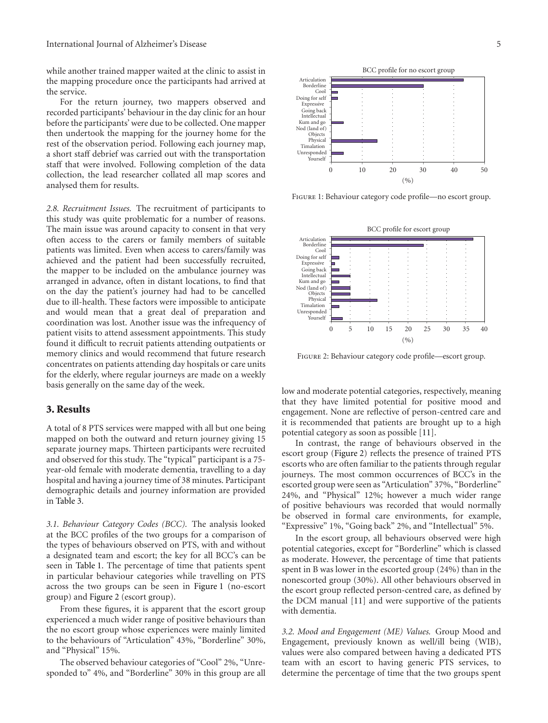while another trained mapper waited at the clinic to assist in the mapping procedure once the participants had arrived at the service.

For the return journey, two mappers observed and recorded participants' behaviour in the day clinic for an hour before the participants' were due to be collected. One mapper then undertook the mapping for the journey home for the rest of the observation period. Following each journey map, a short staff debrief was carried out with the transportation staff that were involved. Following completion of the data collection, the lead researcher collated all map scores and analysed them for results.

*2.8. Recruitment Issues.* The recruitment of participants to this study was quite problematic for a number of reasons. The main issue was around capacity to consent in that very often access to the carers or family members of suitable patients was limited. Even when access to carers/family was achieved and the patient had been successfully recruited, the mapper to be included on the ambulance journey was arranged in advance, often in distant locations, to find that on the day the patient's journey had had to be cancelled due to ill-health. These factors were impossible to anticipate and would mean that a great deal of preparation and coordination was lost. Another issue was the infrequency of patient visits to attend assessment appointments. This study found it difficult to recruit patients attending outpatients or memory clinics and would recommend that future research concentrates on patients attending day hospitals or care units for the elderly, where regular journeys are made on a weekly basis generally on the same day of the week.

#### **3. Results**

A total of 8 PTS services were mapped with all but one being mapped on both the outward and return journey giving 15 separate journey maps. Thirteen participants were recruited and observed for this study. The "typical" participant is a 75 year-old female with moderate dementia, travelling to a day hospital and having a journey time of 38 minutes. Participant demographic details and journey information are provided in Table 3.

*3.1. Behaviour Category Codes (BCC).* The analysis looked at the BCC profiles of the two groups for a comparison of the types of behaviours observed on PTS, with and without a designated team and escort; the key for all BCC's can be seen in Table 1. The percentage of time that patients spent in particular behaviour categories while travelling on PTS across the two groups can be seen in Figure 1 (no-escort group) and Figure 2 (escort group).

From these figures, it is apparent that the escort group experienced a much wider range of positive behaviours than the no escort group whose experiences were mainly limited to the behaviours of "Articulation" 43%, "Borderline" 30%, and "Physical" 15%.

The observed behaviour categories of "Cool" 2%, "Unresponded to" 4%, and "Borderline" 30% in this group are all



Figure 1: Behaviour category code profile—no escort group.



Figure 2: Behaviour category code profile—escort group.

low and moderate potential categories, respectively, meaning that they have limited potential for positive mood and engagement. None are reflective of person-centred care and it is recommended that patients are brought up to a high potential category as soon as possible [11].

In contrast, the range of behaviours observed in the escort group (Figure 2) reflects the presence of trained PTS escorts who are often familiar to the patients through regular journeys. The most common occurrences of BCC's in the escorted group were seen as "Articulation" 37%, "Borderline" 24%, and "Physical" 12%; however a much wider range of positive behaviours was recorded that would normally be observed in formal care environments, for example, "Expressive" 1%, "Going back" 2%, and "Intellectual" 5%.

In the escort group, all behaviours observed were high potential categories, except for "Borderline" which is classed as moderate. However, the percentage of time that patients spent in B was lower in the escorted group (24%) than in the nonescorted group (30%). All other behaviours observed in the escort group reflected person-centred care, as defined by the DCM manual [11] and were supportive of the patients with dementia.

*3.2. Mood and Engagement (ME) Values.* Group Mood and Engagement, previously known as well/ill being (WIB), values were also compared between having a dedicated PTS team with an escort to having generic PTS services, to determine the percentage of time that the two groups spent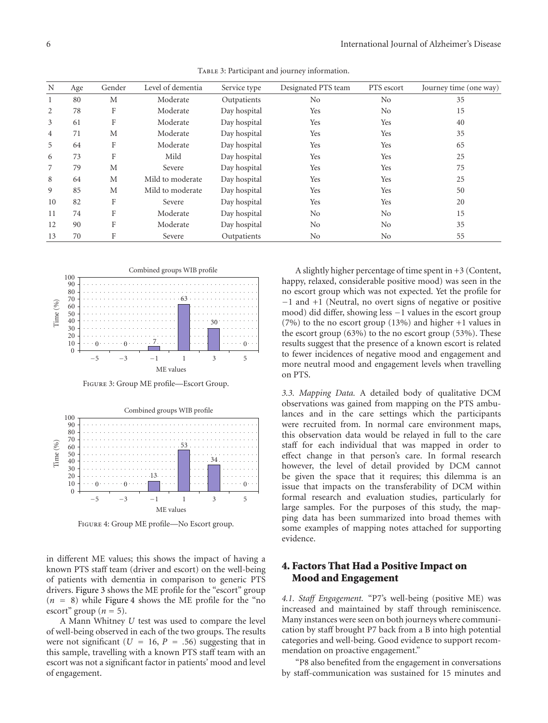| N  | Age | Gender | Level of dementia | Service type | Designated PTS team | PTS escort | Journey time (one way) |
|----|-----|--------|-------------------|--------------|---------------------|------------|------------------------|
| 1  | 80  | M      | Moderate          | Outpatients  | No                  | No         | 35                     |
| 2  | 78  | F      | Moderate          | Day hospital | Yes                 | No         | 15                     |
| 3  | 61  | F      | Moderate          | Day hospital | Yes                 | Yes        | 40                     |
| 4  | 71  | М      | Moderate          | Day hospital | Yes                 | Yes        | 35                     |
| 5  | 64  | F      | Moderate          | Day hospital | Yes                 | Yes        | 65                     |
| 6  | 73  | F      | Mild              | Day hospital | Yes                 | Yes        | 25                     |
| 7  | 79  | M      | Severe            | Day hospital | Yes                 | Yes        | 75                     |
| 8  | 64  | М      | Mild to moderate  | Day hospital | Yes                 | Yes        | 25                     |
| 9  | 85  | M      | Mild to moderate  | Day hospital | Yes                 | Yes        | 50                     |
| 10 | 82  | F      | Severe            | Day hospital | Yes                 | Yes        | 20                     |
| 11 | 74  | F      | Moderate          | Day hospital | No                  | No         | 15                     |
| 12 | 90  | F      | Moderate          | Day hospital | No                  | No         | 35                     |
| 13 | 70  | F      | Severe            | Outpatients  | No                  | No         | 55                     |
|    |     |        |                   |              |                     |            |                        |

TABLE 3: Participant and journey information.



Figure 3: Group ME profile—Escort Group.



Figure 4: Group ME profile—No Escort group.

in different ME values; this shows the impact of having a known PTS staff team (driver and escort) on the well-being of patients with dementia in comparison to generic PTS drivers. Figure 3 shows the ME profile for the "escort" group  $(n = 8)$  while Figure 4 shows the ME profile for the "no escort" group ( $n = 5$ ).

A Mann Whitney *U* test was used to compare the level of well-being observed in each of the two groups. The results were not significant ( $U = 16$ ,  $P = .56$ ) suggesting that in this sample, travelling with a known PTS staff team with an escort was not a significant factor in patients' mood and level of engagement.

A slightly higher percentage of time spent in +3 (Content, happy, relaxed, considerable positive mood) was seen in the no escort group which was not expected. Yet the profile for −1 and +1 (Neutral, no overt signs of negative or positive mood) did differ, showing less −1 values in the escort group (7%) to the no escort group (13%) and higher +1 values in the escort group (63%) to the no escort group (53%). These results suggest that the presence of a known escort is related to fewer incidences of negative mood and engagement and more neutral mood and engagement levels when travelling on PTS.

*3.3. Mapping Data.* A detailed body of qualitative DCM observations was gained from mapping on the PTS ambulances and in the care settings which the participants were recruited from. In normal care environment maps, this observation data would be relayed in full to the care staff for each individual that was mapped in order to effect change in that person's care. In formal research however, the level of detail provided by DCM cannot be given the space that it requires; this dilemma is an issue that impacts on the transferability of DCM within formal research and evaluation studies, particularly for large samples. For the purposes of this study, the mapping data has been summarized into broad themes with some examples of mapping notes attached for supporting evidence.

# **4. Factors That Had a Positive Impact on Mood and Engagement**

*4.1. Staff Engagement.* "P7's well-being (positive ME) was increased and maintained by staff through reminiscence. Many instances were seen on both journeys where communication by staff brought P7 back from a B into high potential categories and well-being. Good evidence to support recommendation on proactive engagement."

"P8 also benefited from the engagement in conversations by staff-communication was sustained for 15 minutes and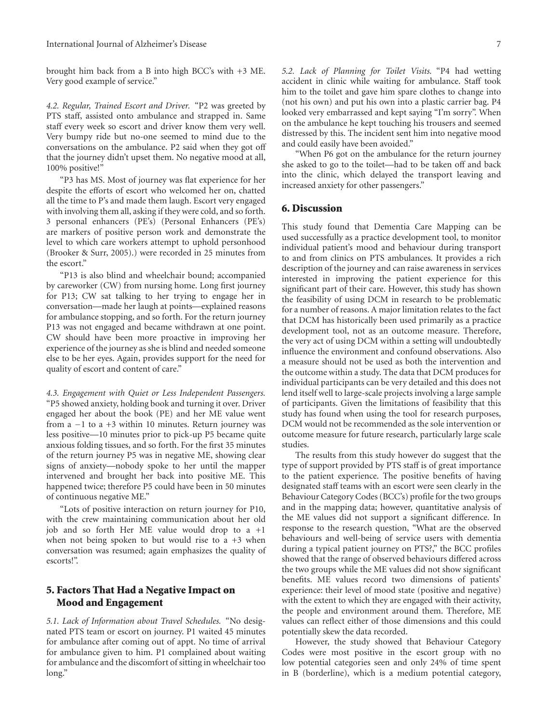brought him back from a B into high BCC's with +3 ME. Very good example of service."

*4.2. Regular, Trained Escort and Driver.* "P2 was greeted by PTS staff, assisted onto ambulance and strapped in. Same staff every week so escort and driver know them very well. Very bumpy ride but no-one seemed to mind due to the conversations on the ambulance. P2 said when they got off that the journey didn't upset them. No negative mood at all, 100% positive!"

"P3 has MS. Most of journey was flat experience for her despite the efforts of escort who welcomed her on, chatted all the time to P's and made them laugh. Escort very engaged with involving them all, asking if they were cold, and so forth. 3 personal enhancers (PE's) (Personal Enhancers (PE's) are markers of positive person work and demonstrate the level to which care workers attempt to uphold personhood (Brooker & Surr, 2005).) were recorded in 25 minutes from the escort."

"P13 is also blind and wheelchair bound; accompanied by careworker (CW) from nursing home. Long first journey for P13; CW sat talking to her trying to engage her in conversation—made her laugh at points—explained reasons for ambulance stopping, and so forth. For the return journey P13 was not engaged and became withdrawn at one point. CW should have been more proactive in improving her experience of the journey as she is blind and needed someone else to be her eyes. Again, provides support for the need for quality of escort and content of care."

*4.3. Engagement with Quiet or Less Independent Passengers.* "P5 showed anxiety, holding book and turning it over. Driver engaged her about the book (PE) and her ME value went from a −1 to a +3 within 10 minutes. Return journey was less positive—10 minutes prior to pick-up P5 became quite anxious folding tissues, and so forth. For the first 35 minutes of the return journey P5 was in negative ME, showing clear signs of anxiety—nobody spoke to her until the mapper intervened and brought her back into positive ME. This happened twice; therefore P5 could have been in 50 minutes of continuous negative ME."

"Lots of positive interaction on return journey for P10, with the crew maintaining communication about her old job and so forth Her ME value would drop to a +1 when not being spoken to but would rise to  $a +3$  when conversation was resumed; again emphasizes the quality of escorts!".

# **5. Factors That Had a Negative Impact on Mood and Engagement**

*5.1. Lack of Information about Travel Schedules.* "No designated PTS team or escort on journey. P1 waited 45 minutes for ambulance after coming out of appt. No time of arrival for ambulance given to him. P1 complained about waiting for ambulance and the discomfort of sitting in wheelchair too long."

*5.2. Lack of Planning for Toilet Visits.* "P4 had wetting accident in clinic while waiting for ambulance. Staff took him to the toilet and gave him spare clothes to change into (not his own) and put his own into a plastic carrier bag. P4

looked very embarrassed and kept saying "I'm sorry". When on the ambulance he kept touching his trousers and seemed distressed by this. The incident sent him into negative mood and could easily have been avoided."

"When P6 got on the ambulance for the return journey she asked to go to the toilet—had to be taken off and back into the clinic, which delayed the transport leaving and increased anxiety for other passengers."

## **6. Discussion**

This study found that Dementia Care Mapping can be used successfully as a practice development tool, to monitor individual patient's mood and behaviour during transport to and from clinics on PTS ambulances. It provides a rich description of the journey and can raise awareness in services interested in improving the patient experience for this significant part of their care. However, this study has shown the feasibility of using DCM in research to be problematic for a number of reasons. A major limitation relates to the fact that DCM has historically been used primarily as a practice development tool, not as an outcome measure. Therefore, the very act of using DCM within a setting will undoubtedly influence the environment and confound observations. Also a measure should not be used as both the intervention and the outcome within a study. The data that DCM produces for individual participants can be very detailed and this does not lend itself well to large-scale projects involving a large sample of participants. Given the limitations of feasibility that this study has found when using the tool for research purposes, DCM would not be recommended as the sole intervention or outcome measure for future research, particularly large scale studies.

The results from this study however do suggest that the type of support provided by PTS staff is of great importance to the patient experience. The positive benefits of having designated staff teams with an escort were seen clearly in the Behaviour Category Codes (BCC's) profile for the two groups and in the mapping data; however, quantitative analysis of the ME values did not support a significant difference. In response to the research question, "What are the observed behaviours and well-being of service users with dementia during a typical patient journey on PTS?," the BCC profiles showed that the range of observed behaviours differed across the two groups while the ME values did not show significant benefits. ME values record two dimensions of patients' experience: their level of mood state (positive and negative) with the extent to which they are engaged with their activity, the people and environment around them. Therefore, ME values can reflect either of those dimensions and this could potentially skew the data recorded.

However, the study showed that Behaviour Category Codes were most positive in the escort group with no low potential categories seen and only 24% of time spent in B (borderline), which is a medium potential category,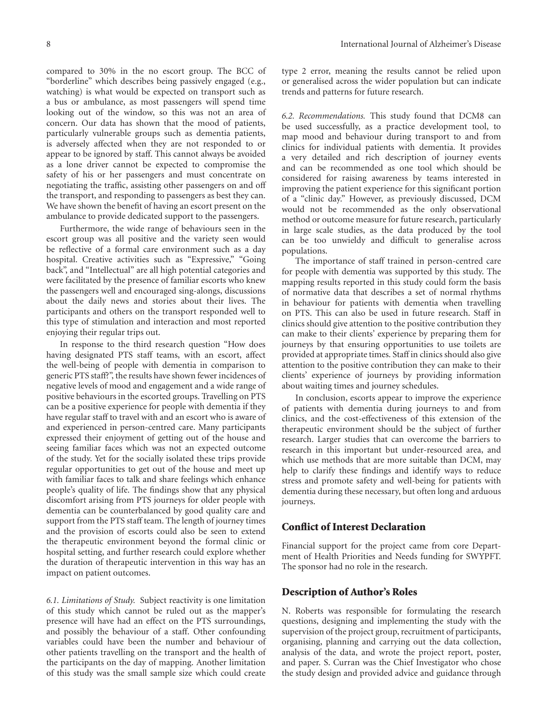compared to 30% in the no escort group. The BCC of "borderline" which describes being passively engaged (e.g., watching) is what would be expected on transport such as a bus or ambulance, as most passengers will spend time looking out of the window, so this was not an area of concern. Our data has shown that the mood of patients, particularly vulnerable groups such as dementia patients, is adversely affected when they are not responded to or appear to be ignored by staff. This cannot always be avoided as a lone driver cannot be expected to compromise the safety of his or her passengers and must concentrate on negotiating the traffic, assisting other passengers on and off the transport, and responding to passengers as best they can. We have shown the benefit of having an escort present on the ambulance to provide dedicated support to the passengers.

Furthermore, the wide range of behaviours seen in the escort group was all positive and the variety seen would be reflective of a formal care environment such as a day hospital. Creative activities such as "Expressive," "Going back", and "Intellectual" are all high potential categories and were facilitated by the presence of familiar escorts who knew the passengers well and encouraged sing-alongs, discussions about the daily news and stories about their lives. The participants and others on the transport responded well to this type of stimulation and interaction and most reported enjoying their regular trips out.

In response to the third research question "How does having designated PTS staff teams, with an escort, affect the well-being of people with dementia in comparison to generic PTS staff?", the results have shown fewer incidences of negative levels of mood and engagement and a wide range of positive behaviours in the escorted groups. Travelling on PTS can be a positive experience for people with dementia if they have regular staff to travel with and an escort who is aware of and experienced in person-centred care. Many participants expressed their enjoyment of getting out of the house and seeing familiar faces which was not an expected outcome of the study. Yet for the socially isolated these trips provide regular opportunities to get out of the house and meet up with familiar faces to talk and share feelings which enhance people's quality of life. The findings show that any physical discomfort arising from PTS journeys for older people with dementia can be counterbalanced by good quality care and support from the PTS staff team. The length of journey times and the provision of escorts could also be seen to extend the therapeutic environment beyond the formal clinic or hospital setting, and further research could explore whether the duration of therapeutic intervention in this way has an impact on patient outcomes.

*6.1. Limitations of Study.* Subject reactivity is one limitation of this study which cannot be ruled out as the mapper's presence will have had an effect on the PTS surroundings, and possibly the behaviour of a staff. Other confounding variables could have been the number and behaviour of other patients travelling on the transport and the health of the participants on the day of mapping. Another limitation of this study was the small sample size which could create

type 2 error, meaning the results cannot be relied upon or generalised across the wider population but can indicate trends and patterns for future research.

*6.2. Recommendations.* This study found that DCM8 can be used successfully, as a practice development tool, to map mood and behaviour during transport to and from clinics for individual patients with dementia. It provides a very detailed and rich description of journey events and can be recommended as one tool which should be considered for raising awareness by teams interested in improving the patient experience for this significant portion of a "clinic day." However, as previously discussed, DCM would not be recommended as the only observational method or outcome measure for future research, particularly in large scale studies, as the data produced by the tool can be too unwieldy and difficult to generalise across populations.

The importance of staff trained in person-centred care for people with dementia was supported by this study. The mapping results reported in this study could form the basis of normative data that describes a set of normal rhythms in behaviour for patients with dementia when travelling on PTS. This can also be used in future research. Staff in clinics should give attention to the positive contribution they can make to their clients' experience by preparing them for journeys by that ensuring opportunities to use toilets are provided at appropriate times. Staff in clinics should also give attention to the positive contribution they can make to their clients' experience of journeys by providing information about waiting times and journey schedules.

In conclusion, escorts appear to improve the experience of patients with dementia during journeys to and from clinics, and the cost-effectiveness of this extension of the therapeutic environment should be the subject of further research. Larger studies that can overcome the barriers to research in this important but under-resourced area, and which use methods that are more suitable than DCM, may help to clarify these findings and identify ways to reduce stress and promote safety and well-being for patients with dementia during these necessary, but often long and arduous journeys.

# **Conflict of Interest Declaration**

Financial support for the project came from core Department of Health Priorities and Needs funding for SWYPFT. The sponsor had no role in the research.

## **Description of Author's Roles**

N. Roberts was responsible for formulating the research questions, designing and implementing the study with the supervision of the project group, recruitment of participants, organising, planning and carrying out the data collection, analysis of the data, and wrote the project report, poster, and paper. S. Curran was the Chief Investigator who chose the study design and provided advice and guidance through